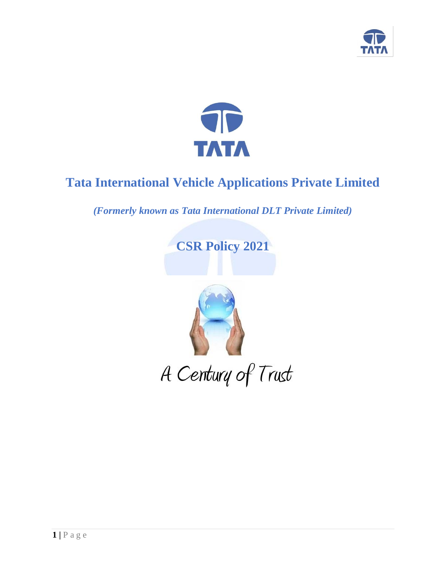



# **Tata International Vehicle Applications Private Limited**

*(Formerly known as Tata International DLT Private Limited)*

**CSR Policy 2021**

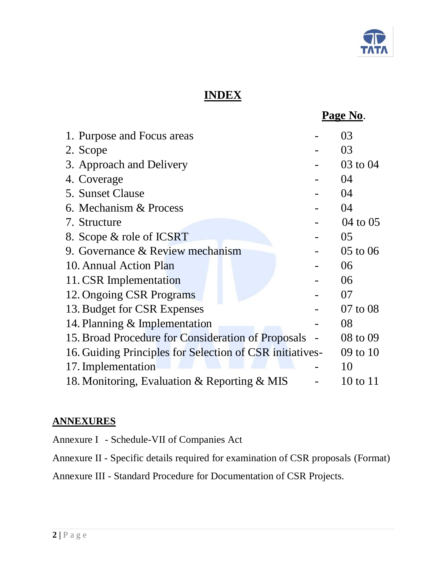

# **INDEX**

|                                                          | <u>Page No.</u> |
|----------------------------------------------------------|-----------------|
| 1. Purpose and Focus areas                               | 03              |
| 2. Scope                                                 | 03              |
| 3. Approach and Delivery                                 | 03 to 04        |
| 4. Coverage                                              | 04              |
| 5. Sunset Clause                                         | 04              |
| 6. Mechanism & Process                                   | 04              |
| 7. Structure                                             | 04 to 05        |
| 8. Scope & role of ICSRT                                 | 05              |
| 9. Governance & Review mechanism                         | 05 to 06        |
| 10. Annual Action Plan                                   | 06              |
| 11. CSR Implementation                                   | 06              |
| 12. Ongoing CSR Programs                                 | 07              |
| 13. Budget for CSR Expenses                              | 07 to 08        |
| 14. Planning & Implementation                            | 08              |
| 15. Broad Procedure for Consideration of Proposals       | 08 to 09        |
| 16. Guiding Principles for Selection of CSR initiatives- | 09 to 10        |
| 17. Implementation                                       | 10              |
| 18. Monitoring, Evaluation & Reporting & MIS             | 10 to 11        |

# **ANNEXURES**

Annexure I - Schedule-VII of Companies Act

Annexure II - Specific details required for examination of CSR proposals (Format)

Annexure III - Standard Procedure for Documentation of CSR Projects.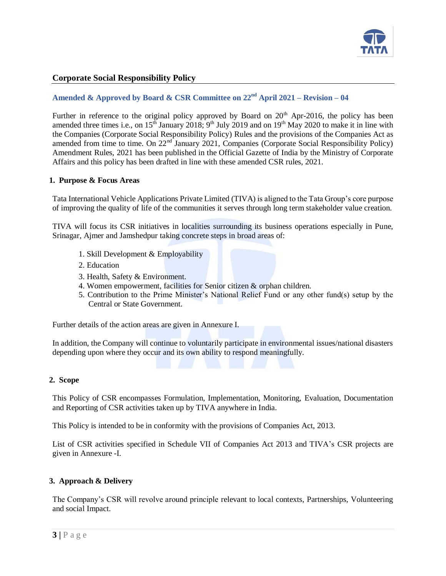

# **Corporate Social Responsibility Policy**

# **Amended & Approved by Board & CSR Committee on 22nd April 2021 – Revision – 04**

Further in reference to the original policy approved by Board on  $20<sup>th</sup>$  Apr-2016, the policy has been amended three times i.e., on  $15^{t}$  January 2018;  $9^{t}$  July 2019 and on 19<sup>th</sup> May 2020 to make it in line with the Companies (Corporate Social Responsibility Policy) Rules and the provisions of the Companies Act as amended from time to time. On 22<sup>nd</sup> January 2021, Companies (Corporate Social Responsibility Policy) Amendment Rules, 2021 has been published in the Official Gazette of India by the Ministry of Corporate Affairs and this policy has been drafted in line with these amended CSR rules, 2021.

#### **1. Purpose & Focus Areas**

Tata International Vehicle Applications Private Limited (TIVA) is aligned to the Tata Group's core purpose of improving the quality of life of the communities it serves through long term stakeholder value creation.

TIVA will focus its CSR initiatives in localities surrounding its business operations especially in Pune, Srinagar, Ajmer and Jamshedpur taking concrete steps in broad areas of:

- 1. Skill Development & Employability
- 2. Education
- 3. Health, Safety & Environment.
- 4. Women empowerment, facilities for Senior citizen & orphan children.
- 5. Contribution to the Prime Minister's National Relief Fund or any other fund(s) setup by the Central or State Government.

Further details of the action areas are given in Annexure I.

In addition, the Company will continue to voluntarily participate in environmental issues/national disasters depending upon where they occur and its own ability to respond meaningfully.

#### **2. Scope**

This Policy of CSR encompasses Formulation, Implementation, Monitoring, Evaluation, Documentation and Reporting of CSR activities taken up by TIVA anywhere in India.

This Policy is intended to be in conformity with the provisions of Companies Act, 2013.

List of CSR activities specified in Schedule VII of Companies Act 2013 and TIVA's CSR projects are given in Annexure -I.

#### **3. Approach & Delivery**

The Company's CSR will revolve around principle relevant to local contexts, Partnerships, Volunteering and social Impact.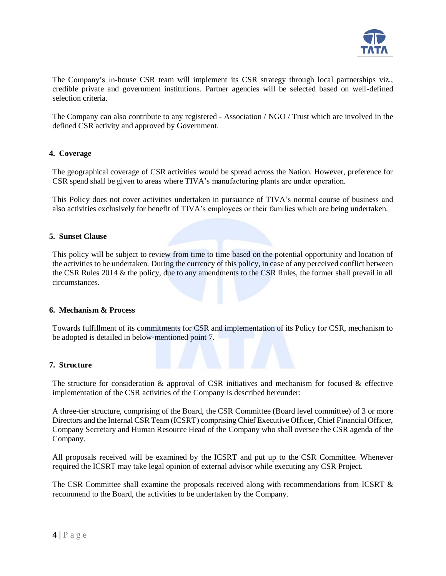

The Company's in-house CSR team will implement its CSR strategy through local partnerships viz., credible private and government institutions. Partner agencies will be selected based on well-defined selection criteria.

The Company can also contribute to any registered - Association / NGO / Trust which are involved in the defined CSR activity and approved by Government.

#### **4. Coverage**

The geographical coverage of CSR activities would be spread across the Nation. However, preference for CSR spend shall be given to areas where TIVA's manufacturing plants are under operation.

This Policy does not cover activities undertaken in pursuance of TIVA's normal course of business and also activities exclusively for benefit of TIVA's employees or their families which are being undertaken.

#### **5. Sunset Clause**

This policy will be subject to review from time to time based on the potential opportunity and location of the activities to be undertaken. During the currency of this policy, in case of any perceived conflict between the CSR Rules 2014 & the policy, due to any amendments to the CSR Rules, the former shall prevail in all circumstances.

#### **6. Mechanism & Process**

Towards fulfillment of its commitments for CSR and implementation of its Policy for CSR, mechanism to be adopted is detailed in below-mentioned point 7.

#### **7. Structure**

The structure for consideration  $\&$  approval of CSR initiatives and mechanism for focused  $\&$  effective implementation of the CSR activities of the Company is described hereunder:

A three-tier structure, comprising of the Board, the CSR Committee (Board level committee) of 3 or more Directors and the Internal CSR Team (ICSRT) comprising Chief Executive Officer, Chief Financial Officer, Company Secretary and Human Resource Head of the Company who shall oversee the CSR agenda of the Company.

All proposals received will be examined by the ICSRT and put up to the CSR Committee. Whenever required the ICSRT may take legal opinion of external advisor while executing any CSR Project.

The CSR Committee shall examine the proposals received along with recommendations from ICSRT & recommend to the Board, the activities to be undertaken by the Company.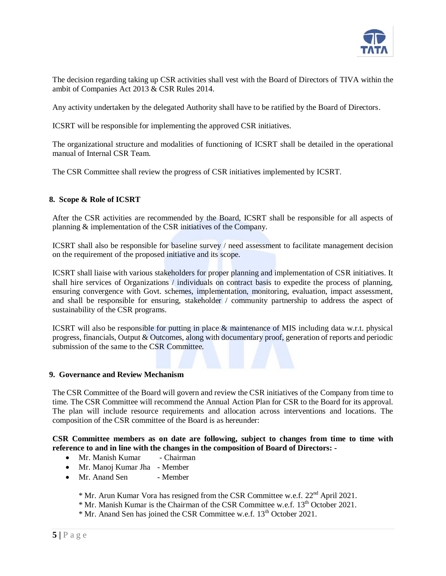

The decision regarding taking up CSR activities shall vest with the Board of Directors of TIVA within the ambit of Companies Act 2013 & CSR Rules 2014.

Any activity undertaken by the delegated Authority shall have to be ratified by the Board of Directors.

ICSRT will be responsible for implementing the approved CSR initiatives.

The organizational structure and modalities of functioning of ICSRT shall be detailed in the operational manual of Internal CSR Team.

The CSR Committee shall review the progress of CSR initiatives implemented by ICSRT.

# **8. Scope & Role of ICSRT**

After the CSR activities are recommended by the Board, ICSRT shall be responsible for all aspects of planning & implementation of the CSR initiatives of the Company.

ICSRT shall also be responsible for baseline survey / need assessment to facilitate management decision on the requirement of the proposed initiative and its scope.

ICSRT shall liaise with various stakeholders for proper planning and implementation of CSR initiatives. It shall hire services of Organizations / individuals on contract basis to expedite the process of planning, ensuring convergence with Govt. schemes, implementation, monitoring, evaluation, impact assessment, and shall be responsible for ensuring, stakeholder / community partnership to address the aspect of sustainability of the CSR programs.

ICSRT will also be responsible for putting in place & maintenance of MIS including data w.r.t. physical progress, financials, Output & Outcomes, along with documentary proof, generation of reports and periodic submission of the same to the CSR Committee.

#### **9. Governance and Review Mechanism**

The CSR Committee of the Board will govern and review the CSR initiatives of the Company from time to time. The CSR Committee will recommend the Annual Action Plan for CSR to the Board for its approval. The plan will include resource requirements and allocation across interventions and locations. The composition of the CSR committee of the Board is as hereunder:

**CSR Committee members as on date are following, subject to changes from time to time with reference to and in line with the changes in the composition of Board of Directors: -**

- Mr. Manish Kumar Chairman
- Mr. Manoj Kumar Jha Member
- Mr. Anand Sen Member

\* Mr. Arun Kumar Vora has resigned from the CSR Committee w.e.f. 22nd April 2021.

- \* Mr. Manish Kumar is the Chairman of the CSR Committee w.e.f. 13th October 2021.
- \* Mr. Anand Sen has joined the CSR Committee w.e.f. 13th October 2021.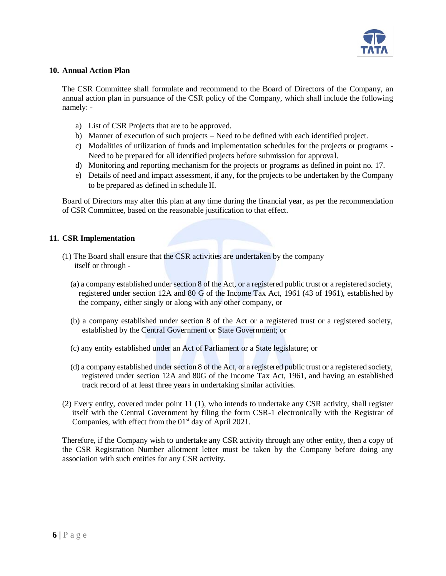

### **10. Annual Action Plan**

The CSR Committee shall formulate and recommend to the Board of Directors of the Company, an annual action plan in pursuance of the CSR policy of the Company, which shall include the following namely: -

- a) List of CSR Projects that are to be approved.
- b) Manner of execution of such projects Need to be defined with each identified project.
- c) Modalities of utilization of funds and implementation schedules for the projects or programs Need to be prepared for all identified projects before submission for approval.
- d) Monitoring and reporting mechanism for the projects or programs as defined in point no. 17.
- e) Details of need and impact assessment, if any, for the projects to be undertaken by the Company to be prepared as defined in schedule II.

Board of Directors may alter this plan at any time during the financial year, as per the recommendation of CSR Committee, based on the reasonable justification to that effect.

#### **11. CSR Implementation**

- (1) The Board shall ensure that the CSR activities are undertaken by the company itself or through -
	- (a) a company established under section 8 of the Act, or a registered public trust or a registered society, registered under section 12A and 80 G of the Income Tax Act, 1961 (43 of 1961), established by the company, either singly or along with any other company, or
	- (b) a company established under section 8 of the Act or a registered trust or a registered society, established by the Central Government or State Government; or
	- (c) any entity established under an Act of Parliament or a State legislature; or
	- (d) a company established under section 8 of the Act, or a registered public trust or a registered society, registered under section 12A and 80G of the Income Tax Act, 1961, and having an established track record of at least three years in undertaking similar activities.
- (2) Every entity, covered under point 11 (1), who intends to undertake any CSR activity, shall register itself with the Central Government by filing the form CSR-1 electronically with the Registrar of Companies, with effect from the  $01<sup>st</sup>$  day of April 2021.

Therefore, if the Company wish to undertake any CSR activity through any other entity, then a copy of the CSR Registration Number allotment letter must be taken by the Company before doing any association with such entities for any CSR activity.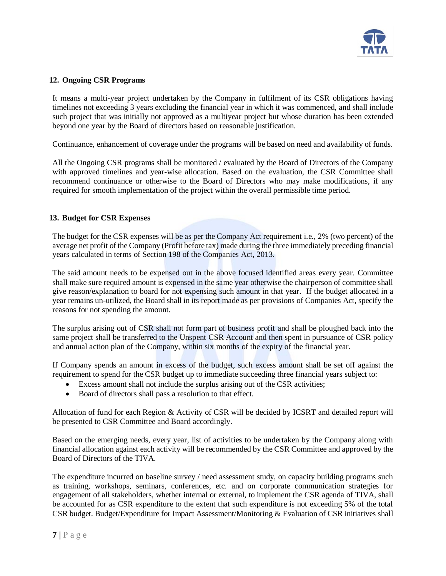

# **12. Ongoing CSR Programs**

It means a multi-year project undertaken by the Company in fulfilment of its CSR obligations having timelines not exceeding 3 years excluding the financial year in which it was commenced, and shall include such project that was initially not approved as a multiyear project but whose duration has been extended beyond one year by the Board of directors based on reasonable justification.

Continuance, enhancement of coverage under the programs will be based on need and availability of funds.

All the Ongoing CSR programs shall be monitored / evaluated by the Board of Directors of the Company with approved timelines and year-wise allocation. Based on the evaluation, the CSR Committee shall recommend continuance or otherwise to the Board of Directors who may make modifications, if any required for smooth implementation of the project within the overall permissible time period.

# **13. Budget for CSR Expenses**

The budget for the CSR expenses will be as per the Company Act requirement i.e., 2% (two percent) of the average net profit of the Company (Profit before tax) made during the three immediately preceding financial years calculated in terms of Section 198 of the Companies Act, 2013.

The said amount needs to be expensed out in the above focused identified areas every year. Committee shall make sure required amount is expensed in the same year otherwise the chairperson of committee shall give reason/explanation to board for not expensing such amount in that year. If the budget allocated in a year remains un-utilized, the Board shall in its report made as per provisions of Companies Act, specify the reasons for not spending the amount.

The surplus arising out of CSR shall not form part of business profit and shall be ploughed back into the same project shall be transferred to the Unspent CSR Account and then spent in pursuance of CSR policy and annual action plan of the Company, within six months of the expiry of the financial year.

If Company spends an amount in excess of the budget, such excess amount shall be set off against the requirement to spend for the CSR budget up to immediate succeeding three financial years subject to:

- Excess amount shall not include the surplus arising out of the CSR activities;
- Board of directors shall pass a resolution to that effect.

Allocation of fund for each Region & Activity of CSR will be decided by ICSRT and detailed report will be presented to CSR Committee and Board accordingly.

Based on the emerging needs, every year, list of activities to be undertaken by the Company along with financial allocation against each activity will be recommended by the CSR Committee and approved by the Board of Directors of the TIVA.

The expenditure incurred on baseline survey / need assessment study, on capacity building programs such as training, workshops, seminars, conferences, etc. and on corporate communication strategies for engagement of all stakeholders, whether internal or external, to implement the CSR agenda of TIVA, shall be accounted for as CSR expenditure to the extent that such expenditure is not exceeding 5% of the total CSR budget. Budget/Expenditure for Impact Assessment/Monitoring & Evaluation of CSR initiatives shall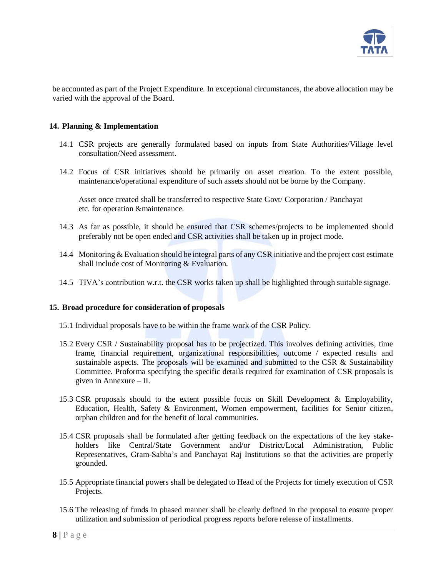

be accounted as part of the Project Expenditure. In exceptional circumstances, the above allocation may be varied with the approval of the Board.

#### **14. Planning & Implementation**

- 14.1 CSR projects are generally formulated based on inputs from State Authorities/Village level consultation/Need assessment.
- 14.2 Focus of CSR initiatives should be primarily on asset creation. To the extent possible, maintenance/operational expenditure of such assets should not be borne by the Company.

Asset once created shall be transferred to respective State Govt/ Corporation / Panchayat etc. for operation &maintenance.

- 14.3 As far as possible, it should be ensured that CSR schemes/projects to be implemented should preferably not be open ended and CSR activities shall be taken up in project mode.
- 14.4 Monitoring & Evaluation should be integral parts of any CSR initiative and the project cost estimate shall include cost of Monitoring & Evaluation.
- 14.5 TIVA's contribution w.r.t. the CSR works taken up shall be highlighted through suitable signage.

#### **15. Broad procedure for consideration of proposals**

- 15.1 Individual proposals have to be within the frame work of the CSR Policy.
- 15.2 Every CSR / Sustainability proposal has to be projectized. This involves defining activities, time frame, financial requirement, organizational responsibilities, outcome / expected results and sustainable aspects. The proposals will be examined and submitted to the CSR & Sustainability Committee. Proforma specifying the specific details required for examination of CSR proposals is given in Annexure – II.
- 15.3 CSR proposals should to the extent possible focus on Skill Development & Employability, Education, Health, Safety & Environment, Women empowerment, facilities for Senior citizen, orphan children and for the benefit of local communities.
- 15.4 CSR proposals shall be formulated after getting feedback on the expectations of the key stakeholders like Central/State Government and/or District/Local Administration, Public Representatives, Gram-Sabha's and Panchayat Raj Institutions so that the activities are properly grounded.
- 15.5 Appropriate financial powers shall be delegated to Head of the Projects for timely execution of CSR Projects.
- 15.6 The releasing of funds in phased manner shall be clearly defined in the proposal to ensure proper utilization and submission of periodical progress reports before release of installments.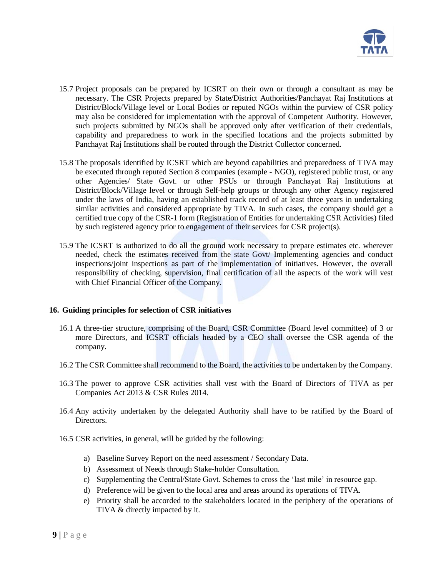

- 15.7 Project proposals can be prepared by ICSRT on their own or through a consultant as may be necessary. The CSR Projects prepared by State/District Authorities/Panchayat Raj Institutions at District/Block/Village level or Local Bodies or reputed NGOs within the purview of CSR policy may also be considered for implementation with the approval of Competent Authority. However, such projects submitted by NGOs shall be approved only after verification of their credentials, capability and preparedness to work in the specified locations and the projects submitted by Panchayat Raj Institutions shall be routed through the District Collector concerned.
- 15.8 The proposals identified by ICSRT which are beyond capabilities and preparedness of TIVA may be executed through reputed Section 8 companies (example - NGO), registered public trust, or any other Agencies/ State Govt. or other PSUs or through Panchayat Raj Institutions at District/Block/Village level or through Self-help groups or through any other Agency registered under the laws of India, having an established track record of at least three years in undertaking similar activities and considered appropriate by TIVA. In such cases, the company should get a certified true copy of the CSR-1 form (Registration of Entities for undertaking CSR Activities) filed by such registered agency prior to engagement of their services for CSR project(s).
- 15.9 The ICSRT is authorized to do all the ground work necessary to prepare estimates etc. wherever needed, check the estimates received from the state Govt/ Implementing agencies and conduct inspections/joint inspections as part of the implementation of initiatives. However, the overall responsibility of checking, supervision, final certification of all the aspects of the work will vest with Chief Financial Officer of the Company.

#### **16. Guiding principles for selection of CSR initiatives**

- 16.1 A three-tier structure, comprising of the Board, CSR Committee (Board level committee) of 3 or more Directors, and ICSRT officials headed by a CEO shall oversee the CSR agenda of the company.
- 16.2 The CSR Committee shall recommend to the Board, the activities to be undertaken by the Company.
- 16.3 The power to approve CSR activities shall vest with the Board of Directors of TIVA as per Companies Act 2013 & CSR Rules 2014.
- 16.4 Any activity undertaken by the delegated Authority shall have to be ratified by the Board of Directors.
- 16.5 CSR activities, in general, will be guided by the following:
	- a) Baseline Survey Report on the need assessment / Secondary Data.
	- b) Assessment of Needs through Stake-holder Consultation.
	- c) Supplementing the Central/State Govt. Schemes to cross the 'last mile' in resource gap.
	- d) Preference will be given to the local area and areas around its operations of TIVA.
	- e) Priority shall be accorded to the stakeholders located in the periphery of the operations of TIVA & directly impacted by it.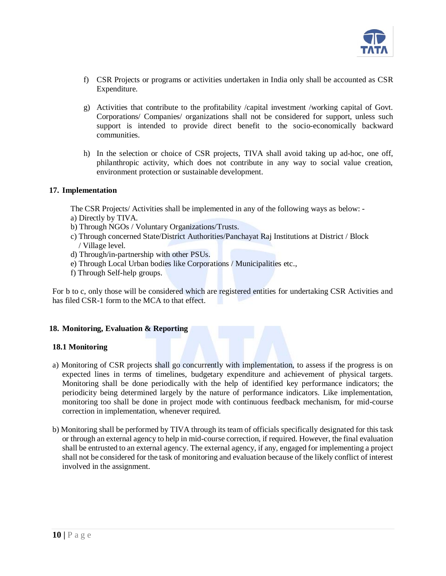

- f) CSR Projects or programs or activities undertaken in India only shall be accounted as CSR Expenditure.
- g) Activities that contribute to the profitability /capital investment /working capital of Govt. Corporations/ Companies/ organizations shall not be considered for support, unless such support is intended to provide direct benefit to the socio-economically backward communities.
- h) In the selection or choice of CSR projects, TIVA shall avoid taking up ad-hoc, one off, philanthropic activity, which does not contribute in any way to social value creation, environment protection or sustainable development.

#### **17. Implementation**

The CSR Projects/ Activities shall be implemented in any of the following ways as below: -

- a) Directly by TIVA.
- b) Through NGOs / Voluntary Organizations/Trusts.
- c) Through concerned State/District Authorities/Panchayat Raj Institutions at District / Block / Village level.
- d) Through/in-partnership with other PSUs.
- e) Through Local Urban bodies like Corporations / Municipalities etc.,
- f) Through Self-help groups.

For b to c, only those will be considered which are registered entities for undertaking CSR Activities and has filed CSR-1 form to the MCA to that effect.

#### **18. Monitoring, Evaluation & Reporting**

#### **18.1 Monitoring**

- a) Monitoring of CSR projects shall go concurrently with implementation, to assess if the progress is on expected lines in terms of timelines, budgetary expenditure and achievement of physical targets. Monitoring shall be done periodically with the help of identified key performance indicators; the periodicity being determined largely by the nature of performance indicators. Like implementation, monitoring too shall be done in project mode with continuous feedback mechanism, for mid-course correction in implementation, whenever required.
- b) Monitoring shall be performed by TIVA through its team of officials specifically designated for this task or through an external agency to help in mid-course correction, if required. However, the final evaluation shall be entrusted to an external agency. The external agency, if any, engaged for implementing a project shall not be considered for the task of monitoring and evaluation because of the likely conflict of interest involved in the assignment.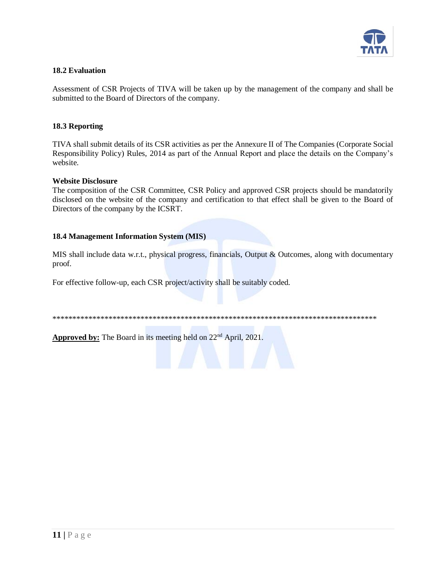

# **18.2 Evaluation**

Assessment of CSR Projects of TIVA will be taken up by the management of the company and shall be submitted to the Board of Directors of the company.

### **18.3 Reporting**

TIVA shall submit details of its CSR activities as per the Annexure II of The Companies (Corporate Social Responsibility Policy) Rules, 2014 as part of the Annual Report and place the details on the Company's website.

#### **Website Disclosure**

The composition of the CSR Committee, CSR Policy and approved CSR projects should be mandatorily disclosed on the website of the company and certification to that effect shall be given to the Board of Directors of the company by the ICSRT.

#### **18.4 Management Information System (MIS)**

MIS shall include data w.r.t., physical progress, financials, Output & Outcomes, along with documentary proof.

For effective follow-up, each CSR project/activity shall be suitably coded.

\*\*\*\*\*\*\*\*\*\*\*\*\*\*\*\*\*\*\*\*\*\*\*\*\*\*\*\*\*\*\*\*\*\*\*\*\*\*\*\*\*\*\*\*\*\*\*\*\*\*\*\*\*\*\*\*\*\*\*\*\*\*\*\*\*\*\*\*\*\*\*\*\*\*\*\*\*\*\*\*\*

Approved by: The Board in its meeting held on 22<sup>nd</sup> April, 2021.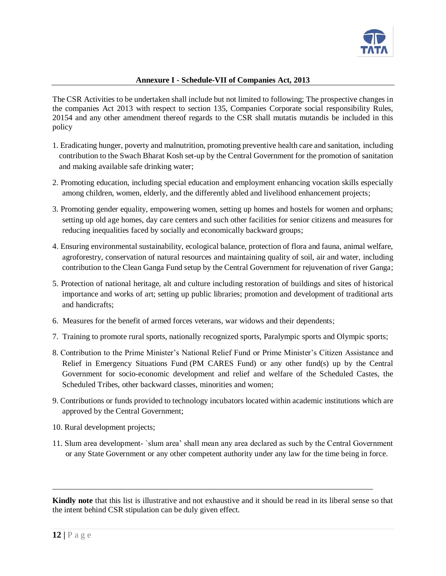

### **Annexure I - Schedule-VII of Companies Act, 2013**

The CSR Activities to be undertaken shall include but not limited to following; The prospective changes in the companies Act 2013 with respect to section 135, Companies Corporate social responsibility Rules, 20154 and any other amendment thereof regards to the CSR shall mutatis mutandis be included in this policy

- 1. Eradicating hunger, poverty and malnutrition, promoting preventive health care and sanitation, [including](https://taxguru.in/company-law/corporate-social-responsibility-swach-bharat-kosh-clean-ganga-fund-included.html)  [contribution to the Swach Bharat Kosh set-up by the Central Government for the promotion of sanitation](https://taxguru.in/company-law/corporate-social-responsibility-swach-bharat-kosh-clean-ganga-fund-included.html)  [and making available safe drinking water;](https://taxguru.in/company-law/corporate-social-responsibility-swach-bharat-kosh-clean-ganga-fund-included.html)
- 2. Promoting education, including special education and employment enhancing vocation skills especially among children, women, elderly, and the differently abled and livelihood enhancement projects;
- 3. Promoting gender equality, empowering women, setting up homes and hostels for women and orphans; setting up old age homes, day care centers and such other facilities for senior citizens and measures for reducing inequalities faced by socially and economically backward groups;
- 4. Ensuring environmental sustainability, ecological balance, protection of flora and fauna, animal welfare, agroforestry, conservation of natural resources and maintaining quality of soil, air and water, [including](https://taxguru.in/company-law/corporate-social-responsibility-swach-bharat-kosh-clean-ganga-fund-included.html)  [contribution to the Clean Ganga Fund setup by the Central Government for rejuvenation of river Ganga;](https://taxguru.in/company-law/corporate-social-responsibility-swach-bharat-kosh-clean-ganga-fund-included.html)
- 5. Protection of national heritage, alt and culture including restoration of buildings and sites of historical importance and works of art; setting up public libraries; promotion and development of traditional arts and handicrafts;
- 6. Measures for the benefit of armed forces veterans, war widows and their dependents;
- 7. Training to promote rural sports, nationally recognized sports, Paralympic sports and Olympic sports;
- 8. Contribution to the Prime Minister's National Relief Fund or Prime Minister's Citizen Assistance and Relief in Emergency Situations Fund (PM CARES Fund) or any other fund(s) up by the Central Government for socio-economic development and relief and welfare of the Scheduled Castes, the Scheduled Tribes, other backward classes, minorities and women;
- 9. Contributions or funds provided to technology incubators located within academic institutions which are approved by the Central Government;
- 10. Rural development projects;
- 11. Slum area development- `slum area' shall mean any area declared as such by the Central Government or any State Government or any other competent authority under any law for the time being in force.

**Kindly note** that this list is illustrative and not exhaustive and it should be read in its liberal sense so that the intent behind CSR stipulation can be duly given effect.

\_\_\_\_\_\_\_\_\_\_\_\_\_\_\_\_\_\_\_\_\_\_\_\_\_\_\_\_\_\_\_\_\_\_\_\_\_\_\_\_\_\_\_\_\_\_\_\_\_\_\_\_\_\_\_\_\_\_\_\_\_\_\_\_\_\_\_\_\_\_\_\_\_\_\_\_\_\_\_\_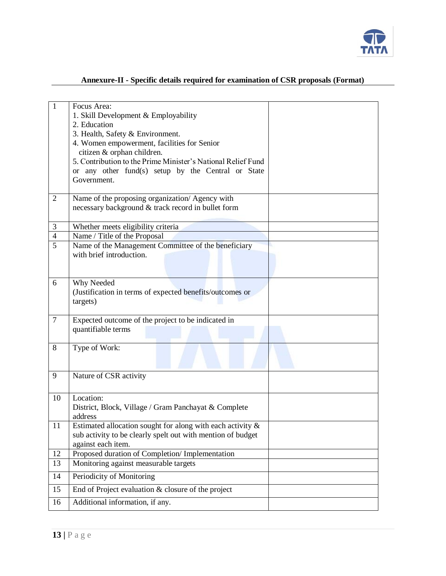

| $\mathbf{1}$   | Focus Area:<br>1. Skill Development & Employability<br>2. Education<br>3. Health, Safety & Environment.<br>4. Women empowerment, facilities for Senior<br>citizen & orphan children.<br>5. Contribution to the Prime Minister's National Relief Fund<br>or any other fund(s) setup by the Central or State<br>Government. |  |
|----------------|---------------------------------------------------------------------------------------------------------------------------------------------------------------------------------------------------------------------------------------------------------------------------------------------------------------------------|--|
| $\overline{2}$ | Name of the proposing organization/ Agency with<br>necessary background & track record in bullet form                                                                                                                                                                                                                     |  |
| $\mathfrak{Z}$ | Whether meets eligibility criteria                                                                                                                                                                                                                                                                                        |  |
| $\overline{4}$ | Name / Title of the Proposal                                                                                                                                                                                                                                                                                              |  |
| $\overline{5}$ | Name of the Management Committee of the beneficiary<br>with brief introduction.                                                                                                                                                                                                                                           |  |
| 6              | Why Needed<br>(Justification in terms of expected benefits/outcomes or<br>targets)                                                                                                                                                                                                                                        |  |
| $\tau$         | Expected outcome of the project to be indicated in<br>quantifiable terms                                                                                                                                                                                                                                                  |  |
| 8              | Type of Work:                                                                                                                                                                                                                                                                                                             |  |
| 9              | Nature of CSR activity                                                                                                                                                                                                                                                                                                    |  |
| 10             | Location:<br>District, Block, Village / Gram Panchayat & Complete<br>address                                                                                                                                                                                                                                              |  |
| 11             | Estimated allocation sought for along with each activity $\&$<br>sub activity to be clearly spelt out with mention of budget<br>against each item.                                                                                                                                                                        |  |
| 12             | Proposed duration of Completion/ Implementation                                                                                                                                                                                                                                                                           |  |
| 13             | Monitoring against measurable targets                                                                                                                                                                                                                                                                                     |  |
| 14             | Periodicity of Monitoring                                                                                                                                                                                                                                                                                                 |  |
| 15             | End of Project evaluation & closure of the project                                                                                                                                                                                                                                                                        |  |
| 16             | Additional information, if any.                                                                                                                                                                                                                                                                                           |  |

# **Annexure-II - Specific details required for examination of CSR proposals (Format)**